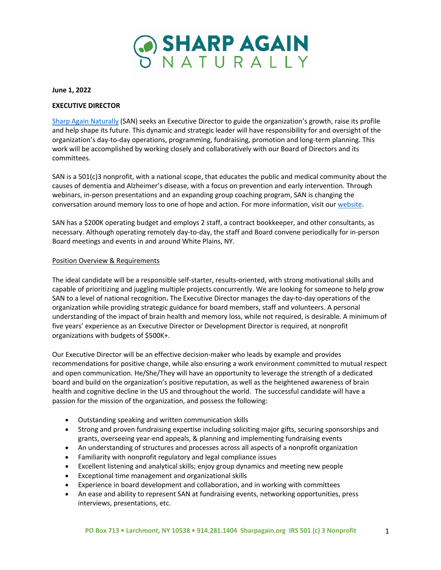

## **June 1, 2022**

# **EXECUTIVE DIRECTOR**

Sharp Again Naturally (SAN) seeks an Executive Director to guide the organization's growth, raise its profile and help shape its future. This dynamic and strategic leader will have responsibility for and oversight of the organization's day-to-day operations, programming, fundraising, promotion and long-term planning. This work will be accomplished by working closely and collaboratively with our Board of Directors and its committees.

SAN is a 501(c)3 nonprofit, with a national scope, that educates the public and medical community about the causes of dementia and Alzheimer's disease, with a focus on prevention and early intervention. Through webinars, in-person presentations and an expanding group coaching program, SAN is changing the conversation around memory loss to one of hope and action. For more information, visit our website.

SAN has a \$200K operating budget and employs 2 staff, a contract bookkeeper, and other consultants, as necessary. Although operating remotely day-to-day, the staff and Board convene periodically for in-person Board meetings and events in and around White Plains, NY.

## Position Overview & Requirements

The ideal candidate will be a responsible self-starter, results-oriented, with strong motivational skills and capable of prioritizing and juggling multiple projects concurrently. We are looking for someone to help grow SAN to a level of national recognition**.** The Executive Director manages the day-to-day operations of the organization while providing strategic guidance for board members, staff and volunteers. A personal understanding of the impact of brain health and memory loss, while not required, is desirable. A minimum of five years' experience as an Executive Director or Development Director is required, at nonprofit organizations with budgets of \$500K+.

Our Executive Director will be an effective decision-maker who leads by example and provides recommendations for positive change, while also ensuring a work environment committed to mutual respect and open communication. He/She/They will have an opportunity to leverage the strength of a dedicated board and build on the organization's positive reputation, as well as the heightened awareness of brain health and cognitive decline in the US and throughout the world. The successful candidate will have a passion for the mission of the organization, and possess the following:

- Outstanding speaking and written communication skills
- Strong and proven fundraising expertise including soliciting major gifts, securing sponsorships and grants, overseeing year-end appeals, & planning and implementing fundraising events
- An understanding of structures and processes across all aspects of a nonprofit organization
- Familiarity with nonprofit regulatory and legal compliance issues
- Excellent listening and analytical skills; enjoy group dynamics and meeting new people
- Exceptional time management and organizational skills
- Experience in board development and collaboration, and in working with committees
- An ease and ability to represent SAN at fundraising events, networking opportunities, press interviews, presentations, etc.